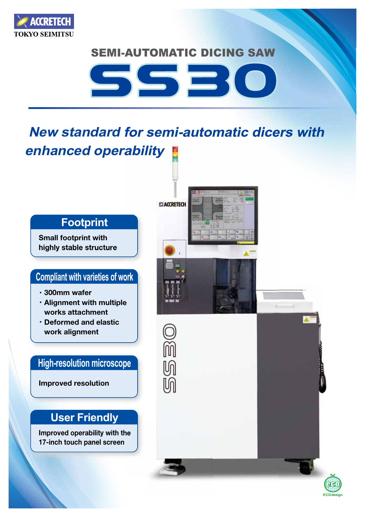

### **SEMI-AUTOMATIC DICING SAW**



# **New standard for semi-automatic dicers with operability enhanced**



**Small footprint with** highly stable structure

#### **Compliant with varieties of work**

- **wafer** wafer
- **· Alignment with multiple** works attachment
- **· Deformed and elastic alignment work**

#### **High-resolution microscope**

**Improved resolution** 

## **User Friendly**

**Improved operability with the 17-inch touch panel screen**